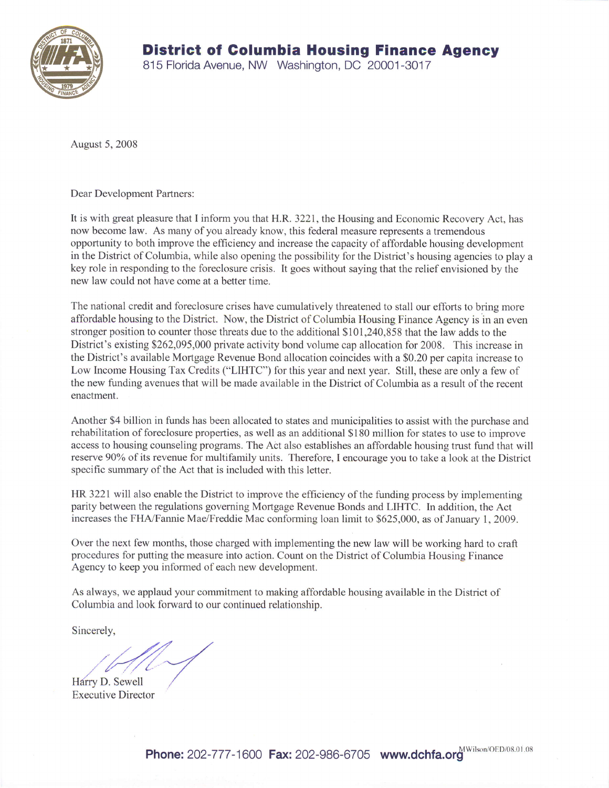

815 Florida Avenue, NW Washington, DC 20001-3017

August 5,2008

Dear Development Partners:

It is with great pleasure that I inform you that H.R.3221, the Housing and Economic Recovery Act, has now become law. As many of you already know, this federal measure represents a tremendous opportunity to both improve the efficiency and increase the capacity of affordable housing development in the District of Columbia, while also opening the possibility for the District's housing agencies to play a key role in responding to the foreclosure crisis. It goes without saying that the relief envisioned by the new law could not have come at a better time.

The national credit and foreclosure crises have cumulatively threatened to stall our efforts to bring more affordable housing to the District. Now, the District of Columbia Housing Finance Agency is in an even stronger position to counter those threats due to the additional \$101,240,858 that the law adds to the District's existing 8262,095,000 private activity bond volume cap allocation for 2008. This increase in the District's available Mortgage Revenue Bond allocation coincides with a \$0.20 per capita increase to Low Income Housing Tax Credits ("LIHTC") for this year and next year, Still, these are only a few of the new funding avenues that will be made available in the District of Columbia as a result of the recent enactment.

Another \$4 billion in funds has been allocated to states and municipalities to assist with the purchase and rehabilitation of foreclosure properties, as well as an additional \$180 million for states to use to improve access to housing counseling programs. The Act also establishes an affordable housing trust fund that will reserve 90% of its revenue for multifamily units. Therefore, I encourage you to take a look at the District specific summary of the Act that is included with this letter.

HR 3221 will also enable the District to improve the efficiency of the funding process by implementing parity between the regulations governing Mortgage Revenue Bonds and LIHTC. In addition, the Act increases the FHA/Fannie Mae/Freddie Mac conforming loan limit to \$625,000, as of January 1,2009.

Over the next few months, those charged with implementing the new law will be working hard to craft procedures for putting the measure into action. Count on the District of Columbia Housing Finance Agency to keep you informed of each new development.

As always, we applaud your commitment to making affordable housing available in the District of Columbia and look fonward to our continued relationship.

Sincerely,

Harry D. Sewell Executive Director

Phone: 202-777-1600 Fax: 202-986-6705 www.dchfa.org MWilson/OED/08.01.08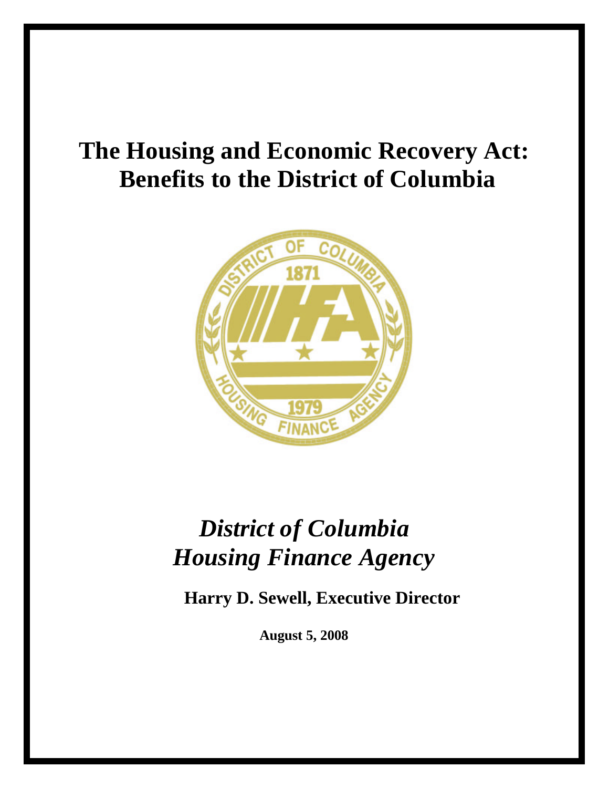## **The Housing and Economic Recovery Act: Benefits to the District of Columbia**



# *District of Columbia Housing Finance Agency*

**Harry D. Sewell, Executive Director** 

**August 5, 2008**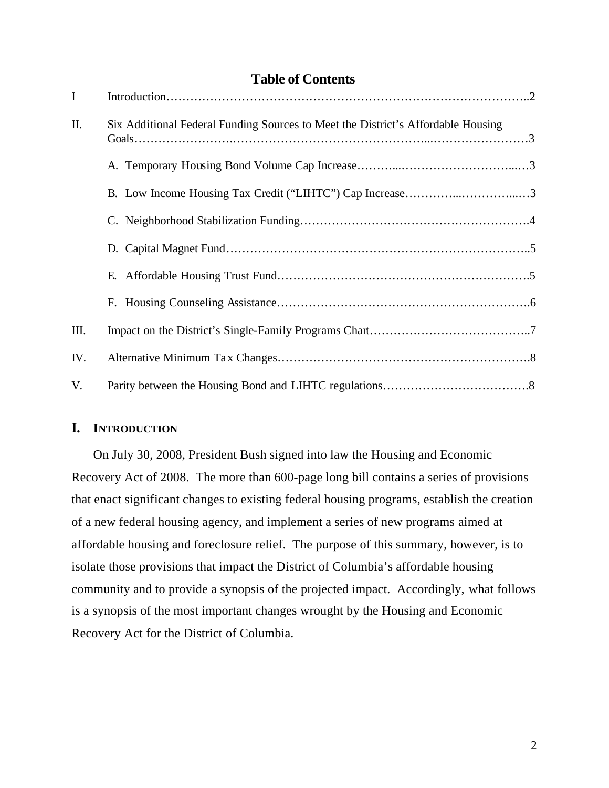### **Table of Contents**

| $\mathbf I$ |                                                                                  |  |
|-------------|----------------------------------------------------------------------------------|--|
| Π.          | Six Additional Federal Funding Sources to Meet the District's Affordable Housing |  |
|             |                                                                                  |  |
|             | B. Low Income Housing Tax Credit ("LIHTC") Cap Increase3                         |  |
|             |                                                                                  |  |
|             |                                                                                  |  |
|             |                                                                                  |  |
|             |                                                                                  |  |
| III.        |                                                                                  |  |
| IV.         |                                                                                  |  |
| V.          |                                                                                  |  |

#### **I. INTRODUCTION**

On July 30, 2008, President Bush signed into law the Housing and Economic Recovery Act of 2008. The more than 600-page long bill contains a series of provisions that enact significant changes to existing federal housing programs, establish the creation of a new federal housing agency, and implement a series of new programs aimed at affordable housing and foreclosure relief. The purpose of this summary, however, is to isolate those provisions that impact the District of Columbia's affordable housing community and to provide a synopsis of the projected impact. Accordingly, what follows is a synopsis of the most important changes wrought by the Housing and Economic Recovery Act for the District of Columbia.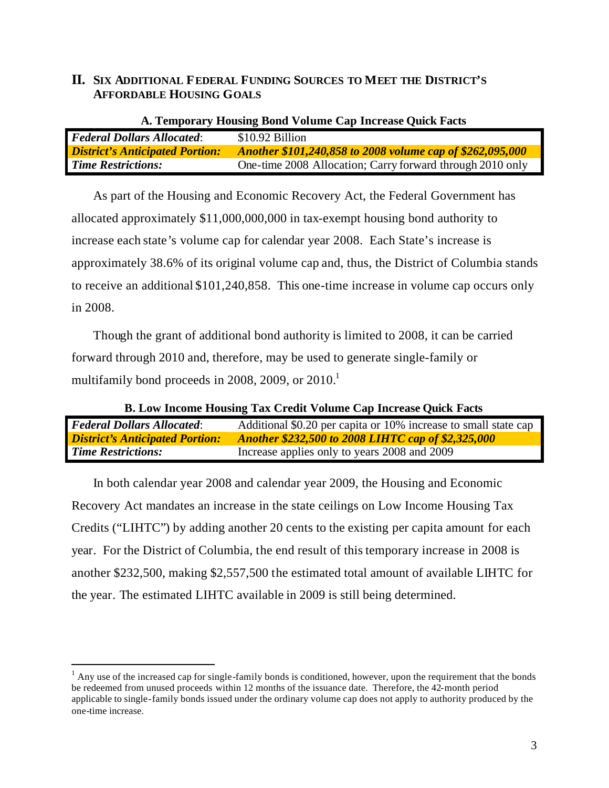#### **II. SIX ADDITIONAL FEDERAL FUNDING SOURCES TO MEET THE DISTRICT'S AFFORDABLE HOUSING GOALS**

| A. Temporary Housing Bond Volume Cap Increase Quick Facts |                                                                  |  |  |
|-----------------------------------------------------------|------------------------------------------------------------------|--|--|
| <b>Federal Dollars Allocated:</b>                         | $$10.92$ Billion                                                 |  |  |
| <b>District's Anticipated Portion:</b>                    | <b>Another \$101,240,858 to 2008 volume cap of \$262,095,000</b> |  |  |
| <b>Time Restrictions:</b>                                 | One-time 2008 Allocation; Carry forward through 2010 only        |  |  |

As part of the Housing and Economic Recovery Act, the Federal Government has allocated approximately \$11,000,000,000 in tax-exempt housing bond authority to increase each state's volume cap for calendar year 2008. Each State's increase is approximately 38.6% of its original volume cap and, thus, the District of Columbia stands to receive an additional \$101,240,858. This one-time increase in volume cap occurs only in 2008.

Though the grant of additional bond authority is limited to 2008, it can be carried forward through 2010 and, therefore, may be used to generate single-family or multifamily bond proceeds in 2008, 2009, or  $2010<sup>1</sup>$ 

| <b>B.</b> Low Income Housing Tax Credit Volume Cap Increase Quick Facts |                                                                 |  |  |
|-------------------------------------------------------------------------|-----------------------------------------------------------------|--|--|
| <b>Federal Dollars Allocated:</b>                                       | Additional \$0.20 per capita or 10% increase to small state cap |  |  |
| <b>District's Anticipated Portion:</b>                                  | <b>Another \$232,500 to 2008 LIHTC cap of \$2,325,000</b>       |  |  |
| <b>Time Restrictions:</b>                                               | Increase applies only to years 2008 and 2009                    |  |  |

In both calendar year 2008 and calendar year 2009, the Housing and Economic Recovery Act mandates an increase in the state ceilings on Low Income Housing Tax Credits ("LIHTC") by adding another 20 cents to the existing per capita amount for each year. For the District of Columbia, the end result of this temporary increase in 2008 is another \$232,500, making \$2,557,500 the estimated total amount of available LIHTC for the year. The estimated LIHTC available in 2009 is still being determined.

 $\overline{a}$ 

 $<sup>1</sup>$  Any use of the increased cap for single-family bonds is conditioned, however, upon the requirement that the bonds</sup> be redeemed from unused proceeds within 12 months of the issuance date. Therefore, the 42-month period applicable to single-family bonds issued under the ordinary volume cap does not apply to authority produced by the one-time increase.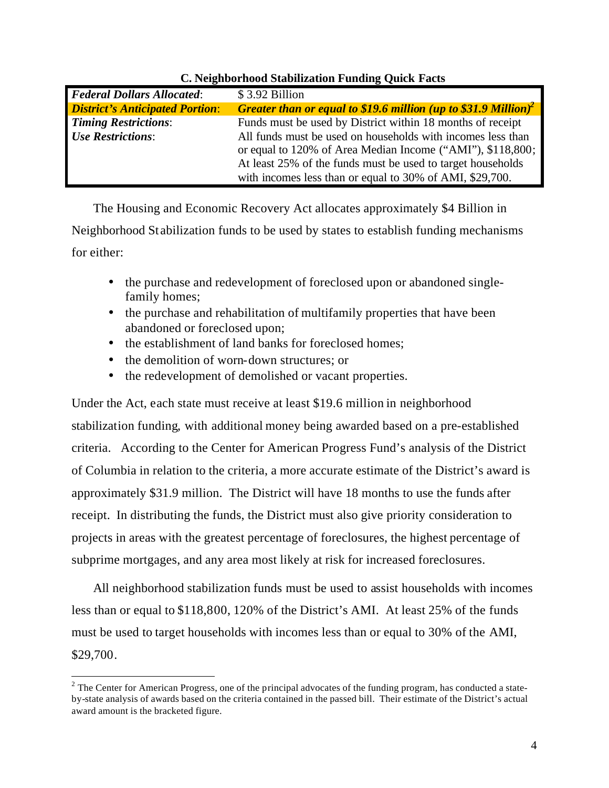| <b>Federal Dollars Allocated:</b>      | \$3.92 Billion                                                                    |
|----------------------------------------|-----------------------------------------------------------------------------------|
| <b>District's Anticipated Portion:</b> | <b>Greater than or equal to \$19.6 million (up to \$31.9 Million)<sup>2</sup></b> |
| <b>Timing Restrictions:</b>            | Funds must be used by District within 18 months of receipt                        |
| <b>Use Restrictions:</b>               | All funds must be used on households with incomes less than                       |
|                                        | or equal to 120% of Area Median Income ("AMI"), \$118,800;                        |
|                                        | At least 25% of the funds must be used to target households                       |
|                                        | with incomes less than or equal to 30% of AMI, \$29,700.                          |

#### **C. Neighborhood Stabilization Funding Quick Facts**

The Housing and Economic Recovery Act allocates approximately \$4 Billion in Neighborhood St abilization funds to be used by states to establish funding mechanisms for either:

- the purchase and redevelopment of foreclosed upon or abandoned singlefamily homes;
- the purchase and rehabilitation of multifamily properties that have been abandoned or foreclosed upon;
- the establishment of land banks for foreclosed homes;
- the demolition of worn-down structures; or

 $\overline{a}$ 

• the redevelopment of demolished or vacant properties.

Under the Act, each state must receive at least \$19.6 million in neighborhood stabilization funding, with additional money being awarded based on a pre-established criteria. According to the Center for American Progress Fund's analysis of the District of Columbia in relation to the criteria, a more accurate estimate of the District's award is approximately \$31.9 million. The District will have 18 months to use the funds after receipt. In distributing the funds, the District must also give priority consideration to projects in areas with the greatest percentage of foreclosures, the highest percentage of subprime mortgages, and any area most likely at risk for increased foreclosures.

All neighborhood stabilization funds must be used to assist households with incomes less than or equal to \$118,800, 120% of the District's AMI. At least 25% of the funds must be used to target households with incomes less than or equal to 30% of the AMI, \$29,700.

 $2$  The Center for American Progress, one of the principal advocates of the funding program, has conducted a stateby-state analysis of awards based on the criteria contained in the passed bill. Their estimate of the District's actual award amount is the bracketed figure.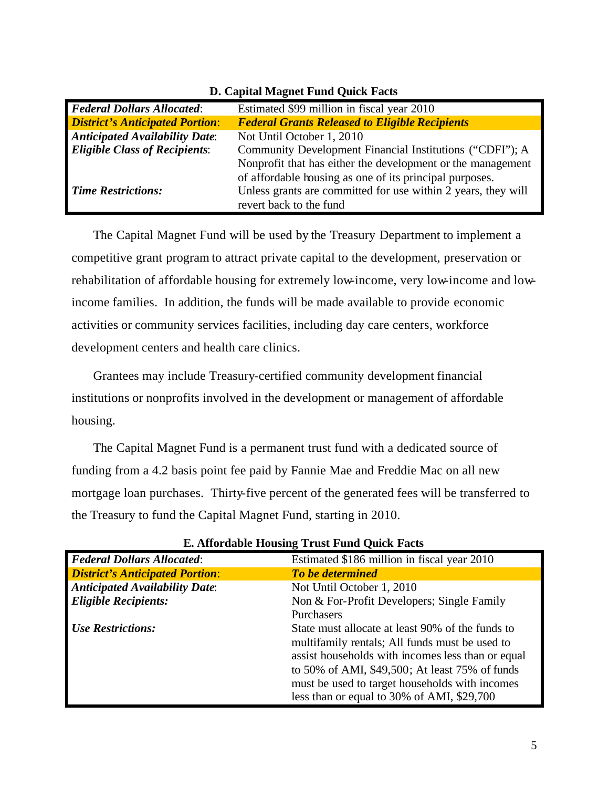| <b>Federal Dollars Allocated:</b>      | Estimated \$99 million in fiscal year 2010                    |
|----------------------------------------|---------------------------------------------------------------|
| <b>District's Anticipated Portion:</b> | <b>Federal Grants Released to Eligible Recipients</b>         |
| <b>Anticipated Availability Date:</b>  | Not Until October 1, 2010                                     |
| <b>Eligible Class of Recipients:</b>   | Community Development Financial Institutions ("CDFI"); A      |
|                                        | Nonprofit that has either the development or the management   |
|                                        | of affordable housing as one of its principal purposes.       |
| <b>Time Restrictions:</b>              | Unless grants are committed for use within 2 years, they will |
|                                        | revert back to the fund                                       |

**D. Capital Magnet Fund Quick Facts**

The Capital Magnet Fund will be used by the Treasury Department to implement a competitive grant program to attract private capital to the development, preservation or rehabilitation of affordable housing for extremely low-income, very low-income and lowincome families. In addition, the funds will be made available to provide economic activities or community services facilities, including day care centers, workforce development centers and health care clinics.

Grantees may include Treasury-certified community development financial institutions or nonprofits involved in the development or management of affordable housing.

The Capital Magnet Fund is a permanent trust fund with a dedicated source of funding from a 4.2 basis point fee paid by Fannie Mae and Freddie Mac on all new mortgage loan purchases. Thirty-five percent of the generated fees will be transferred to the Treasury to fund the Capital Magnet Fund, starting in 2010.

| <b>Federal Dollars Allocated:</b>      | Estimated \$186 million in fiscal year 2010       |
|----------------------------------------|---------------------------------------------------|
| <b>District's Anticipated Portion:</b> | To be determined                                  |
| <b>Anticipated Availability Date:</b>  | Not Until October 1, 2010                         |
| <b>Eligible Recipients:</b>            | Non & For-Profit Developers; Single Family        |
|                                        | Purchasers                                        |
| Use Restrictions:                      | State must allocate at least 90% of the funds to  |
|                                        | multifamily rentals; All funds must be used to    |
|                                        | assist households with incomes less than or equal |
|                                        | to 50% of AMI, \$49,500; At least 75% of funds    |
|                                        | must be used to target households with incomes    |
|                                        | less than or equal to 30% of AMI, \$29,700        |

**E. Affordable Housing Trust Fund Quick Facts**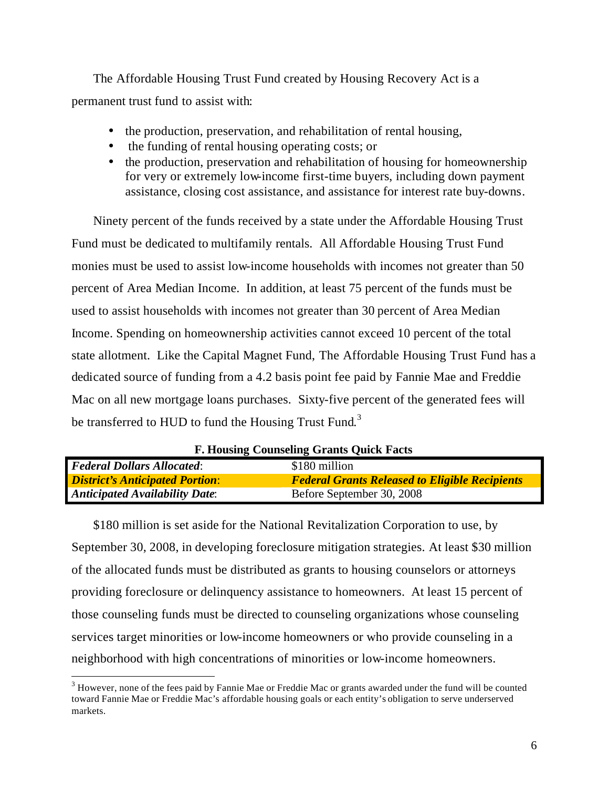The Affordable Housing Trust Fund created by Housing Recovery Act is a permanent trust fund to assist with:

- the production, preservation, and rehabilitation of rental housing,
- the funding of rental housing operating costs; or
- the production, preservation and rehabilitation of housing for homeownership for very or extremely low-income first-time buyers, including down payment assistance, closing cost assistance, and assistance for interest rate buy-downs.

Ninety percent of the funds received by a state under the Affordable Housing Trust Fund must be dedicated to multifamily rentals. All Affordable Housing Trust Fund monies must be used to assist low-income households with incomes not greater than 50 percent of Area Median Income. In addition, at least 75 percent of the funds must be used to assist households with incomes not greater than 30 percent of Area Median Income. Spending on homeownership activities cannot exceed 10 percent of the total state allotment. Like the Capital Magnet Fund, The Affordable Housing Trust Fund has a dedicated source of funding from a 4.2 basis point fee paid by Fannie Mae and Freddie Mac on all new mortgage loans purchases. Sixty-five percent of the generated fees will be transferred to HUD to fund the Housing Trust Fund.<sup>3</sup>

| <b>F. HOUSING COUNSELING GRANTS QUICK FACTS</b>    |                                                       |  |
|----------------------------------------------------|-------------------------------------------------------|--|
| <b>Federal Dollars Allocated:</b><br>\$180 million |                                                       |  |
| <b>District's Anticipated Portion:</b>             | <b>Federal Grants Released to Eligible Recipients</b> |  |
| <b>Anticipated Availability Date:</b>              | Before September 30, 2008                             |  |

**F. Housing Counseling Grants Quick Facts**

\$180 million is set aside for the National Revitalization Corporation to use, by September 30, 2008, in developing foreclosure mitigation strategies. At least \$30 million of the allocated funds must be distributed as grants to housing counselors or attorneys providing foreclosure or delinquency assistance to homeowners. At least 15 percent of those counseling funds must be directed to counseling organizations whose counseling services target minorities or low-income homeowners or who provide counseling in a neighborhood with high concentrations of minorities or low-income homeowners.

 $\overline{a}$ 

 $3$  However, none of the fees paid by Fannie Mae or Freddie Mac or grants awarded under the fund will be counted toward Fannie Mae or Freddie Mac's affordable housing goals or each entity's obligation to serve underserved markets.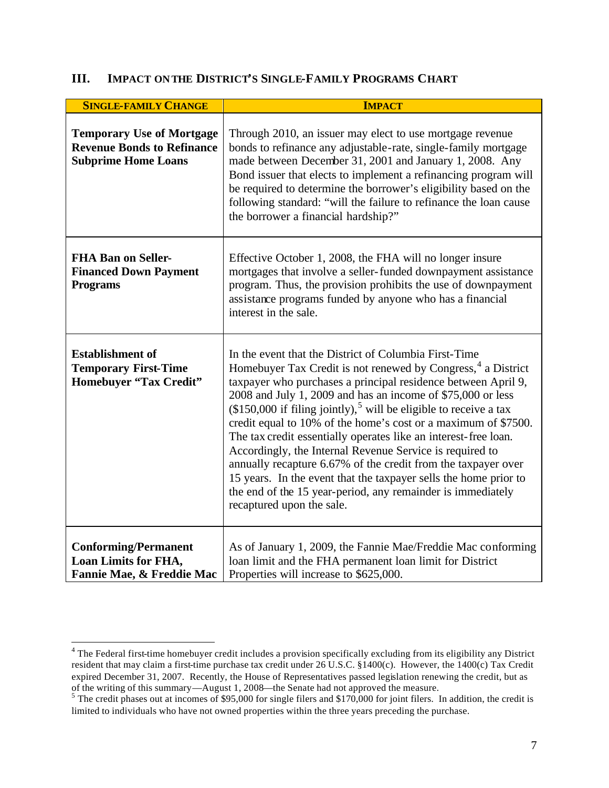### **III. IMPACT ON THE DISTRICT'S SINGLE-FAMILY PROGRAMS CHART**

| <b>SINGLE-FAMILY CHANGE</b>                                                                         | <b>IMPACT</b>                                                                                                                                                                                                                                                                                                                                                                                                                                                                                                                                                                                                                                                                                                                                                                         |
|-----------------------------------------------------------------------------------------------------|---------------------------------------------------------------------------------------------------------------------------------------------------------------------------------------------------------------------------------------------------------------------------------------------------------------------------------------------------------------------------------------------------------------------------------------------------------------------------------------------------------------------------------------------------------------------------------------------------------------------------------------------------------------------------------------------------------------------------------------------------------------------------------------|
| <b>Temporary Use of Mortgage</b><br><b>Revenue Bonds to Refinance</b><br><b>Subprime Home Loans</b> | Through 2010, an issuer may elect to use mortgage revenue<br>bonds to refinance any adjustable-rate, single-family mortgage<br>made between December 31, 2001 and January 1, 2008. Any<br>Bond issuer that elects to implement a refinancing program will<br>be required to determine the borrower's eligibility based on the<br>following standard: "will the failure to refinance the loan cause<br>the borrower a financial hardship?"                                                                                                                                                                                                                                                                                                                                             |
| <b>FHA Ban on Seller-</b><br><b>Financed Down Payment</b><br><b>Programs</b>                        | Effective October 1, 2008, the FHA will no longer insure<br>mortgages that involve a seller-funded downpayment assistance<br>program. Thus, the provision prohibits the use of downpayment<br>assistance programs funded by anyone who has a financial<br>interest in the sale.                                                                                                                                                                                                                                                                                                                                                                                                                                                                                                       |
| <b>Establishment of</b><br><b>Temporary First-Time</b><br><b>Homebuyer "Tax Credit"</b>             | In the event that the District of Columbia First-Time<br>Homebuyer Tax Credit is not renewed by Congress, <sup>4</sup> a District<br>taxpayer who purchases a principal residence between April 9,<br>2008 and July 1, 2009 and has an income of \$75,000 or less<br>$($150,000$ if filing jointly), <sup>5</sup> will be eligible to receive a tax<br>credit equal to 10% of the home's cost or a maximum of \$7500.<br>The tax credit essentially operates like an interest-free loan.<br>Accordingly, the Internal Revenue Service is required to<br>annually recapture 6.67% of the credit from the taxpayer over<br>15 years. In the event that the taxpayer sells the home prior to<br>the end of the 15 year-period, any remainder is immediately<br>recaptured upon the sale. |
| <b>Conforming/Permanent</b><br>Loan Limits for FHA,<br>Fannie Mae, & Freddie Mac                    | As of January 1, 2009, the Fannie Mae/Freddie Mac conforming<br>loan limit and the FHA permanent loan limit for District<br>Properties will increase to \$625,000.                                                                                                                                                                                                                                                                                                                                                                                                                                                                                                                                                                                                                    |

 4 The Federal first-time homebuyer credit includes a provision specifically excluding from its eligibility any District resident that may claim a first-time purchase tax credit under 26 U.S.C. §1400(c). However, the 1400(c) Tax Credit expired December 31, 2007. Recently, the House of Representatives passed legislation renewing the credit, but as of the writing of this summary—August 1, 2008—the Senate had not approved the measure.<br><sup>5</sup> The credit phases out at incomes of \$95,000 for single filers and \$170,000 for joint filers. In addition, the credit is

limited to individuals who have not owned properties within the three years preceding the purchase.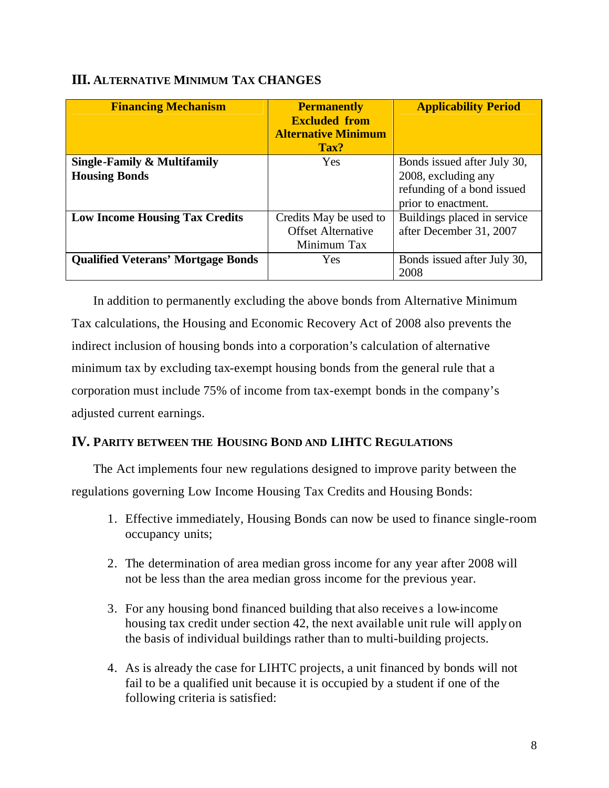| <b>Financing Mechanism</b>                | <b>Permanently</b><br><b>Excluded from</b><br><b>Alternative Minimum</b><br>Tax? | <b>Applicability Period</b> |
|-------------------------------------------|----------------------------------------------------------------------------------|-----------------------------|
| Single-Family & Multifamily               | Yes                                                                              | Bonds issued after July 30, |
| <b>Housing Bonds</b>                      |                                                                                  | 2008, excluding any         |
|                                           |                                                                                  | refunding of a bond issued  |
|                                           |                                                                                  | prior to enactment.         |
| <b>Low Income Housing Tax Credits</b>     | Credits May be used to                                                           | Buildings placed in service |
|                                           | <b>Offset Alternative</b>                                                        | after December 31, 2007     |
|                                           | Minimum Tax                                                                      |                             |
| <b>Qualified Veterans' Mortgage Bonds</b> | Yes                                                                              | Bonds issued after July 30, |
|                                           |                                                                                  | 2008                        |

#### **III. ALTERNATIVE MINIMUM TAX CHANGES**

In addition to permanently excluding the above bonds from Alternative Minimum Tax calculations, the Housing and Economic Recovery Act of 2008 also prevents the indirect inclusion of housing bonds into a corporation's calculation of alternative minimum tax by excluding tax-exempt housing bonds from the general rule that a corporation must include 75% of income from tax-exempt bonds in the company's adjusted current earnings.

### **IV. PARITY BETWEEN THE HOUSING BOND AND LIHTC REGULATIONS**

The Act implements four new regulations designed to improve parity between the regulations governing Low Income Housing Tax Credits and Housing Bonds:

- 1. Effective immediately, Housing Bonds can now be used to finance single-room occupancy units;
- 2. The determination of area median gross income for any year after 2008 will not be less than the area median gross income for the previous year.
- 3. For any housing bond financed building that also receives a low-income housing tax credit under section 42, the next available unit rule will apply on the basis of individual buildings rather than to multi-building projects.
- 4. As is already the case for LIHTC projects, a unit financed by bonds will not fail to be a qualified unit because it is occupied by a student if one of the following criteria is satisfied: